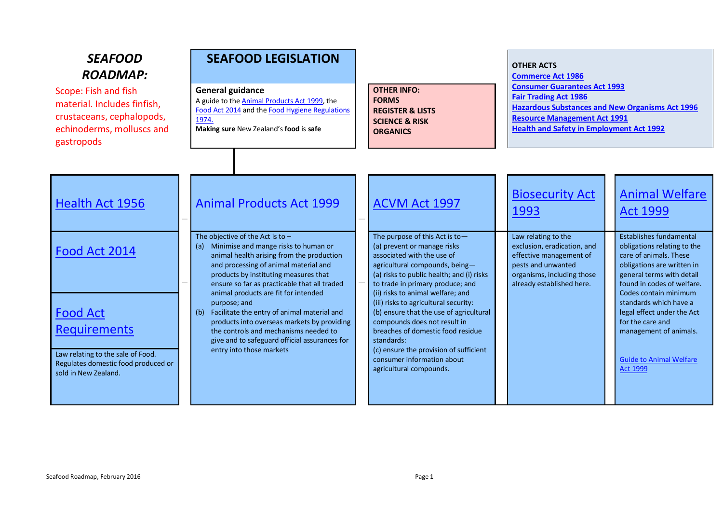## *SEAFOOD ROADMAP:*

Scope: Fish and fish material. Includes finfish, crustaceans, cephalopods, echinoderms, molluscs and gastropods

## **SEAFOOD LEGISLATION**

### **General guidance**

[A guide to the Animal Products Act 1999,](http://www.foodsafety.govt.nz/elibrary/industry/Guide_Animal-Clarifies_Requirements.pdf) the [Food Act 2014](https://www.mpi.govt.nz/food-safety/food-act-2014/) and the Food Hygiene Regulations [1974.](http://www.foodsafety.govt.nz/industry/general/fsp/overview.htm) **Making sure** [New Zealand's](http://www.foodsmart.govt.nz/elibrary/making-sure-zealand-nz-food-is-safe/food-is-safe.pdf) **food** is **safe**

### **OTHER INFO: [FORMS](#page-10-0) [REGISTER & LISTS](#page-12-0) SCIENCE & RISK ORGANICS**

**[Commerce Act 1986](http://www.legislation.govt.nz/act/public/1986/0005/latest/DLM87623.html) [Consumer Guarantees Act 1993](http://www.legislation.govt.nz/act/public/1993/0091/latest/DLM311053.html) [Fair Trading Act 1986](http://www.legislation.govt.nz/act/public/1986/0121/latest/DLM96439.html) [Hazardous Substances and New Organisms Act 1996](http://www.legislation.govt.nz/act/public/1996/0030/latest/DLM381222.html) [Resource Management Act 1991](http://www.legislation.govt.nz/act/public/1991/0069/latest/DLM230265.html) [Health and Safety in Employment Act 1992](http://legislation.govt.nz/act/public/1992/0096/latest/DLM278829.html)**

| Health Act 1956                                                                                                                                             | <b>Animal Products Act 1999</b>                                                                                                                                                                                                                                                                                                                                                                                                                                                                                                                     | ACVM Act 1997                                                                                                                                                                                                                                                                                                                                                                                                                                                                                                                 | <b>Biosecurity Act</b><br>1993                                                                                                                                 | <b>Animal Welfare</b><br><b>Act 1999</b>                                                                                                                                                                                                                                                                                                                             |
|-------------------------------------------------------------------------------------------------------------------------------------------------------------|-----------------------------------------------------------------------------------------------------------------------------------------------------------------------------------------------------------------------------------------------------------------------------------------------------------------------------------------------------------------------------------------------------------------------------------------------------------------------------------------------------------------------------------------------------|-------------------------------------------------------------------------------------------------------------------------------------------------------------------------------------------------------------------------------------------------------------------------------------------------------------------------------------------------------------------------------------------------------------------------------------------------------------------------------------------------------------------------------|----------------------------------------------------------------------------------------------------------------------------------------------------------------|----------------------------------------------------------------------------------------------------------------------------------------------------------------------------------------------------------------------------------------------------------------------------------------------------------------------------------------------------------------------|
| Food Act 2014<br><b>Food Act</b><br><b>Requirements</b><br>Law relating to the sale of Food.<br>Regulates domestic food produced or<br>sold in New Zealand. | The objective of the Act is to $-$<br>Minimise and mange risks to human or<br>(a)<br>animal health arising from the production<br>and processing of animal material and<br>products by instituting measures that<br>ensure so far as practicable that all traded<br>animal products are fit for intended<br>purpose; and<br>Facilitate the entry of animal material and<br>(b)<br>products into overseas markets by providing<br>the controls and mechanisms needed to<br>give and to safeguard official assurances for<br>entry into those markets | The purpose of this Act is to-<br>(a) prevent or manage risks<br>associated with the use of<br>agricultural compounds, being-<br>(a) risks to public health; and (i) risks<br>to trade in primary produce; and<br>(ii) risks to animal welfare; and<br>(iii) risks to agricultural security:<br>(b) ensure that the use of agricultural<br>compounds does not result in<br>breaches of domestic food residue<br>standards:<br>(c) ensure the provision of sufficient<br>consumer information about<br>agricultural compounds. | Law relating to the<br>exclusion, eradication, and<br>effective management of<br>pests and unwanted<br>organisms, including those<br>already established here. | <b>Establishes fundamental</b><br>obligations relating to the<br>care of animals. These<br>obligations are written in<br>general terms with detail<br>found in codes of welfare.<br>Codes contain minimum<br>standards which have a<br>legal effect under the Act<br>for the care and<br>management of animals.<br><b>Guide to Animal Welfare</b><br><b>Act 1999</b> |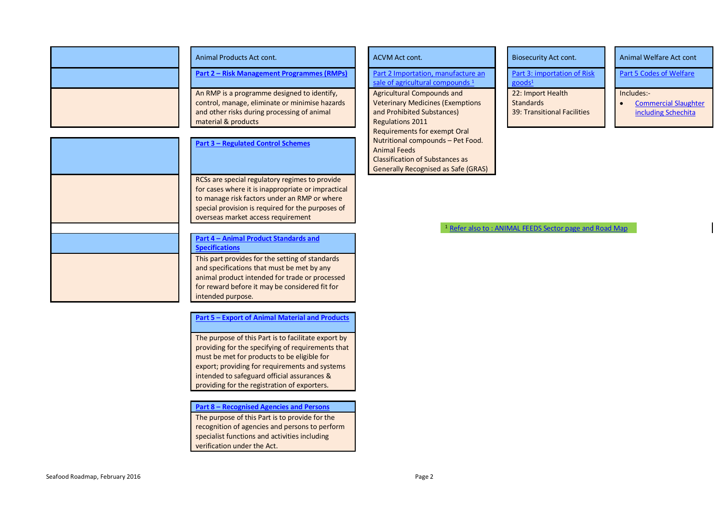| Animal Products Act cont.<br>An RMP is a programme designed to identify,<br>and other risks during processing of animal<br>material & products<br><b>Part 3 - Regulated Control Schemes</b><br>RCSs are special regulatory regimes to provide<br>overseas market access requirement<br>Part 4 - Animal Product Standards and<br><b>Specifications</b><br>This part provides for the setting of standards<br>and specifications that must be met by any<br>for reward before it may be considered fit for |                                                                                                                                                         |
|----------------------------------------------------------------------------------------------------------------------------------------------------------------------------------------------------------------------------------------------------------------------------------------------------------------------------------------------------------------------------------------------------------------------------------------------------------------------------------------------------------|---------------------------------------------------------------------------------------------------------------------------------------------------------|
|                                                                                                                                                                                                                                                                                                                                                                                                                                                                                                          |                                                                                                                                                         |
|                                                                                                                                                                                                                                                                                                                                                                                                                                                                                                          | Part 2 – Risk Management Programmes (RMPs)                                                                                                              |
|                                                                                                                                                                                                                                                                                                                                                                                                                                                                                                          | control, manage, eliminate or minimise hazards                                                                                                          |
|                                                                                                                                                                                                                                                                                                                                                                                                                                                                                                          |                                                                                                                                                         |
|                                                                                                                                                                                                                                                                                                                                                                                                                                                                                                          |                                                                                                                                                         |
|                                                                                                                                                                                                                                                                                                                                                                                                                                                                                                          | for cases where it is inappropriate or impractical<br>to manage risk factors under an RMP or where<br>special provision is required for the purposes of |
|                                                                                                                                                                                                                                                                                                                                                                                                                                                                                                          |                                                                                                                                                         |
|                                                                                                                                                                                                                                                                                                                                                                                                                                                                                                          |                                                                                                                                                         |
| intended purpose.                                                                                                                                                                                                                                                                                                                                                                                                                                                                                        | animal product intended for trade or processed                                                                                                          |

**Part 5 – [Export of Animal Material and Products](#page-4-0)**

The purpose of this Part is to facilitate export by providing for the specifying of requirements that must be met for products to be eligible for export; providing for requirements and systems intended to safeguard official assurances & providing for the registration of exporters.

#### **Part 8 – [Recognised Agencies and Persons](#page-4-0)**

The purpose of this Part is to provide for the recognition of agencies and persons to perform specialist functions and activities including verification under the Act.

**Part 2 Importation, manufacture an** sale of agricultural compounds<sup>1</sup>

Agricultural Compounds and Veterinary Medicines (Exemptions and Prohibited Substances) Regulations 2011 Requirements for exempt Oral Nutritional compounds – Pet Food. Animal Feeds Classification of Substances as Generally Recognised as Safe (GRAS)

Part 3: importation of Risk goods<sup>1</sup> 22: Import Health **Standards** 39: Transitional Facilities

ACVM Act cont. Act cont. Act cont. Act cont. Act cont. Act cont. Animal Welfare Act cont

Part 5 Codes of Welfare

#### Includes:-

**•** Commercial Slaughter [including Schechita](http://www.biosecurity.govt.nz/animal-welfare/codes/commercial-slaughter)

<sup>1</sup> [Refer also to : ANIMAL FEEDS Sector page and Road Map](http://www.foodsafety.govt.nz/industry/sectors/animal-feeds)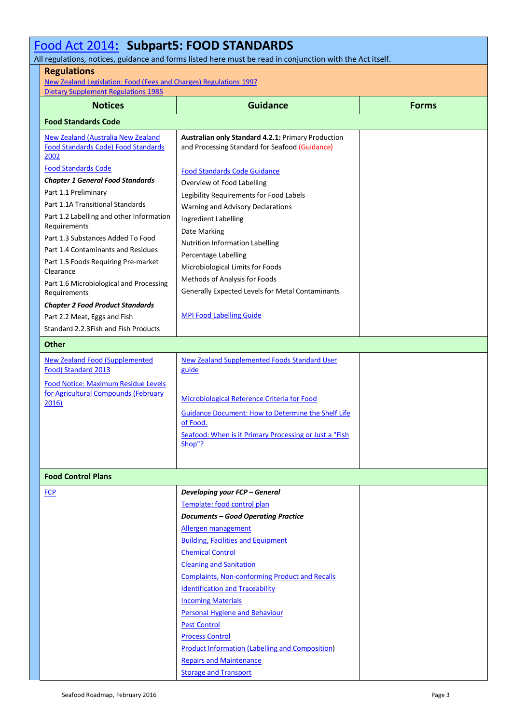#### [Food Act 2014](http://www.legislation.govt.nz/act/public/2014/0032/latest/DLM2995811.html?search=ts_act%40bill%40regulation%40deemedreg_food+act_resel_25_a&p=1)**: Subpart5: FOOD STANDARDS** All regulations, notices, guidance and forms listed here must be read in conjunction with the Act itself. **Regulations** [New Zealand Legislation: Food \(Fees and Charges\) Regulations 1997](http://www.legislation.govt.nz/regulation/public/1997/0100/latest/DLM232769.html?search=ts_regulation_food_resel&p=1&sr=1) [Dietary Supplement Regulations 1985](http://www.legislation.govt.nz/regulation/public/1985/0208/latest/DLM102109.html?search=ta_regulation_D_rc%40rinf%40rnif_an%40bn%40rn_25_a&p=2) **Notices Guidance Forms Food Standards Code** [New Zealand \(Australia New Zealand](http://www.foodsafety.govt.nz/elibrary/industry/zealand-australia-zealand-food-standards/index.htm)  [Food Standards Code\) Food Standards](http://www.foodsafety.govt.nz/elibrary/industry/zealand-australia-zealand-food-standards/index.htm)  [2002](http://www.foodsafety.govt.nz/elibrary/industry/zealand-australia-zealand-food-standards/index.htm) [Food Standards Code](http://www.foodstandards.gov.au/Pages/default.aspx) *Chapter 1 General Food Standards* Part 1.1 Preliminary Part 1.1A Transitional Standards Part 1.2 Labelling and other Information Requirements Part 1.3 Substances Added To Food Part 1.4 Contaminants and Residues Part 1.5 Foods Requiring Pre-market Clearance Part 1.6 Microbiological and Processing Requirements *Chapter 2 Food Product Standards* Part 2.2 Meat, Eggs and Fish Standard 2.2.3Fish and Fish Products **Australian only Standard 4.2.1:** Primary Production and Processing Standard for Seafood (Guidance) [Food Standards Code Guidance](http://www.foodstandards.gov.au/code/userguide/Pages/default.aspx) Overview of Food Labelling Legibility Requirements for Food Labels Warning and Advisory Declarations Ingredient Labelling Date Marking Nutrition Information Labelling Percentage Labelling Microbiological Limits for Foods Methods of Analysis for Foods Generally Expected Levels for Metal Contaminants MPI [Food Labelling Guide](http://www.foodsafety.govt.nz/elibrary/industry/nzfsa-food-labelling-guide/index.htm) **Other** [New Zealand Food \(Supplemented](http://www.foodsafety.govt.nz/elibrary/industry/nzfood-supplementedfood-standard-2013.pdf)  [Food\) Standard 2013](http://www.foodsafety.govt.nz/elibrary/industry/nzfood-supplementedfood-standard-2013.pdf) [Food Notice: Maximum Residue Levels](https://piritahi.cohesion.net.nz/Sites/RG/_layouts/15/WopiFrame.aspx?sourcedoc=/Sites/RG/AnimalProducts/Red%20Meat/Meat%20Roadmap.docx&action=default)  [for Agricultural Compounds \(February](https://piritahi.cohesion.net.nz/Sites/RG/_layouts/15/WopiFrame.aspx?sourcedoc=/Sites/RG/AnimalProducts/Red%20Meat/Meat%20Roadmap.docx&action=default)  [2016\)](https://piritahi.cohesion.net.nz/Sites/RG/_layouts/15/WopiFrame.aspx?sourcedoc=/Sites/RG/AnimalProducts/Red%20Meat/Meat%20Roadmap.docx&action=default) [New Zealand Supplemented Foods Standard User](http://www.foodsafety.govt.nz/elibrary/industry/zealand-supplemented-foods-standard-user-guide/index.htm)  [guide](http://www.foodsafety.govt.nz/elibrary/industry/zealand-supplemented-foods-standard-user-guide/index.htm) [Microbiological Reference Criteria for Food](http://www.foodsafety.govt.nz/elibrary/industry/Microbiological_Reference-Guide_Assess.pdf) [Guidance Document: How to Determine the Shelf Life](http://www.foodsafety.govt.nz/elibrary/industry/determine-shelf-life-of-food/index.htm)  [of Food.](http://www.foodsafety.govt.nz/elibrary/industry/determine-shelf-life-of-food/index.htm) [Seafood: When is it Primary Processing or Just a "Fish](http://www.foodsafety.govt.nz/elibrary/industry/Seafood-clarifies-fish-shop.pdf)  [Shop"?](http://www.foodsafety.govt.nz/elibrary/industry/Seafood-clarifies-fish-shop.pdf) **Food Control Plans** [FCP](http://www.mpi.govt.nz/food-safety/food-act-2014/food-control-plans/) *Developing your FCP – General* Template: [food control plan](http://www.mpi.govt.nz/food-safety/food-act-2014/food-control-plans/steps-to-a-template-food-control-plan/) *Documents – Good Operating Practice* [Allergen management](http://www.foodsafety.govt.nz/elibrary/industry/Guidance_Developing_Good_Operating_Practice_Procedures_Allergen-Provides_Their.pdf) [Building, Facilities and Equipment](http://www.foodsafety.govt.nz/elibrary/industry/Guidance_Developing_Good_Operating_Practice_Procedures_Building-Provides_Their.pdf) [Chemical Control](http://www.foodsafety.govt.nz/elibrary/industry/Guidance_Developing_Good_Operating-Provides_Their.pdf) [Cleaning and Sanitation](http://www.foodsafety.govt.nz/elibrary/industry/Guidance_Developing_Good_Operating_Practice_Procedures_Cleaning-Provides_Their.pdf) [Complaints, Non-conforming Product and Recalls](http://www.foodsafety.govt.nz/elibrary/industry/Guidance_Developing_Good_Operating_Practice_Procedures_Complaints-Provides_Their.pdf) [Identification and Traceability](http://www.foodsafety.govt.nz/elibrary/industry/Guidance_Developing_Good-Provides_Their.pdf) [Incoming Materials](http://www.foodsafety.govt.nz/elibrary/industry/Guidance_Developing_Good_Operating_Practice_Procedures_Incoming-Provides_Their.pdf) [Personal Hygiene and Behaviour](http://www.foodsafety.govt.nz/elibrary/industry/Guidance_Developing_Good_Operating_Practice_Procedures-Provides_Their.pdf) [Pest Control](http://www.foodsafety.govt.nz/elibrary/industry/Guidance_Developing_Good_Operating_Practice_Procedures_Pest-Provides_Their.pdf) [Process Control](http://www.foodsafety.govt.nz/elibrary/industry/Guidance_Developing_Good_Operating_Practice_Procedures_Process-Provides_Their.pdf) [Product Information \(Labelling and Composition\)](http://www.foodsafety.govt.nz/elibrary/industry/Guidance_Developing_Good_Operating_Practice_Procedures_Product-Provides_Their.pdf) [Repairs and Maintenance](http://www.foodsafety.govt.nz/elibrary/industry/Guidance_Developing_Good_Operating_Practice_Procedures_Repairs-Provides_Their.pdf) [Storage and Transport](http://www.foodsafety.govt.nz/elibrary/industry/Guidance_Developing_Good_Operating_Practice_Procedures_Storage-Provides_Their.pdf)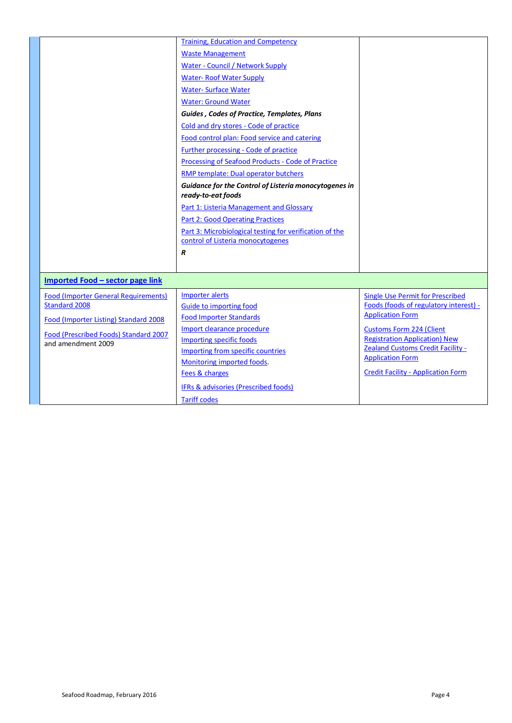|                                             | <b>Training, Education and Competency</b>               |                                                                     |
|---------------------------------------------|---------------------------------------------------------|---------------------------------------------------------------------|
|                                             | <b>Waste Management</b>                                 |                                                                     |
|                                             | <b>Water - Council / Network Supply</b>                 |                                                                     |
|                                             | <b>Water-Roof Water Supply</b>                          |                                                                     |
|                                             | <b>Water-Surface Water</b>                              |                                                                     |
|                                             | <b>Water: Ground Water</b>                              |                                                                     |
|                                             | Guides, Codes of Practice, Templates, Plans             |                                                                     |
|                                             | Cold and dry stores - Code of practice                  |                                                                     |
|                                             | Food control plan: Food service and catering            |                                                                     |
|                                             | <b>Further processing - Code of practice</b>            |                                                                     |
|                                             | Processing of Seafood Products - Code of Practice       |                                                                     |
|                                             | RMP template: Dual operator butchers                    |                                                                     |
|                                             | Guidance for the Control of Listeria monocytogenes in   |                                                                     |
|                                             | ready-to-eat foods                                      |                                                                     |
|                                             | <b>Part 1: Listeria Management and Glossary</b>         |                                                                     |
|                                             | <b>Part 2: Good Operating Practices</b>                 |                                                                     |
|                                             | Part 3: Microbiological testing for verification of the |                                                                     |
|                                             | control of Listeria monocytogenes                       |                                                                     |
|                                             | $\boldsymbol{R}$                                        |                                                                     |
|                                             |                                                         |                                                                     |
| <b>Imported Food - sector page link</b>     |                                                         |                                                                     |
| <b>Food (Importer General Requirements)</b> | <b>Importer alerts</b>                                  | <b>Single Use Permit for Prescribed</b>                             |
| <b>Standard 2008</b>                        | <b>Guide to importing food</b>                          | Foods (foods of regulatory interest) -                              |
| Food (Importer Listing) Standard 2008       | <b>Food Importer Standards</b>                          | <b>Application Form</b>                                             |
| Food (Prescribed Foods) Standard 2007       | Import clearance procedure                              | <b>Customs Form 224 (Client</b>                                     |
| and amendment 2009                          | <b>Importing specific foods</b>                         | <b>Registration Application) New</b>                                |
|                                             | Importing from specific countries                       | <b>Zealand Customs Credit Facility -</b><br><b>Application Form</b> |
|                                             | Monitoring imported foods.                              |                                                                     |
|                                             | Fees & charges                                          | <b>Credit Facility - Application Form</b>                           |
|                                             | IFRs & advisories (Prescribed foods)                    |                                                                     |
|                                             | <b>Tariff codes</b>                                     |                                                                     |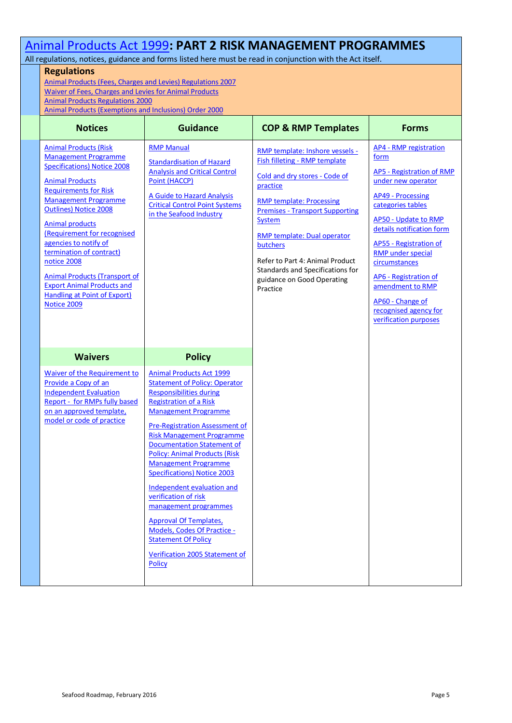## <span id="page-4-0"></span>[Animal Products Act 1999](http://www.legislation.govt.nz/act/public/1999/0093/latest/DLM33502.html?search=ts_act%40bill%40regulation%40deemedreg_animal+products+act_resel_25_h&p=1)**: PART 2 RISK MANAGEMENT PROGRAMMES**

All regulations, notices, guidance and forms listed here must be read in conjunction with the Act itself.

### **Regulations**

[Animal Products \(Fees, Charges and Levies\) Regulations 2007](http://www.legislation.govt.nz/regulation/public/2007/0130/latest/DLM437294.html?search=ts_all%40act%40bill%40regulation_animal+products_resel&p=1&sr=1) [Waiver of Fees, Charges and Levies for Animal Products](http://www.foodsafety.govt.nz/elibrary/industry/AP-waiver-fees-charges-levies-30-06-2015.pdf) [Animal Products Regulations 2000](http://www.legislation.govt.nz/regulation/public/2000/0207/latest/DLM9546.html?search=ts_all%40act%40bill%40regulation_animal+products_resel&p=1&sr=1) [Animal Products \(Exemptions and Inclusions\) Order 2000](http://www.legislation.govt.nz/regulation/public/2000/0209/latest/DLM9809.html)

| <b>Notices</b>                                                                                                                                                                                                                                                                                                                                                                                                                                                                                     | <b>Guidance</b>                                                                                                                                                                                                                                                                                                                                                                                                                                                                                                                                                                                                                          | <b>COP &amp; RMP Templates</b>                                                                                                                                                                                                                                                                                                                                                 | <b>Forms</b>                                                                                                                                                                                                                                                                                                                                                                                    |
|----------------------------------------------------------------------------------------------------------------------------------------------------------------------------------------------------------------------------------------------------------------------------------------------------------------------------------------------------------------------------------------------------------------------------------------------------------------------------------------------------|------------------------------------------------------------------------------------------------------------------------------------------------------------------------------------------------------------------------------------------------------------------------------------------------------------------------------------------------------------------------------------------------------------------------------------------------------------------------------------------------------------------------------------------------------------------------------------------------------------------------------------------|--------------------------------------------------------------------------------------------------------------------------------------------------------------------------------------------------------------------------------------------------------------------------------------------------------------------------------------------------------------------------------|-------------------------------------------------------------------------------------------------------------------------------------------------------------------------------------------------------------------------------------------------------------------------------------------------------------------------------------------------------------------------------------------------|
| <b>Animal Products (Risk)</b><br><b>Management Programme</b><br><b>Specifications) Notice 2008</b><br><b>Animal Products</b><br><b>Requirements for Risk</b><br><b>Management Programme</b><br><b>Outlines) Notice 2008</b><br><b>Animal products</b><br>(Requirement for recognised<br>agencies to notify of<br>termination of contract)<br>notice 2008<br><b>Animal Products (Transport of</b><br><b>Export Animal Products and</b><br><b>Handling at Point of Export)</b><br><b>Notice 2009</b> | <b>RMP Manual</b><br><b>Standardisation of Hazard</b><br><b>Analysis and Critical Control</b><br>Point (HACCP)<br>A Guide to Hazard Analysis<br><b>Critical Control Point Systems</b><br>in the Seafood Industry                                                                                                                                                                                                                                                                                                                                                                                                                         | RMP template: Inshore vessels -<br><b>Fish filleting - RMP template</b><br>Cold and dry stores - Code of<br>practice<br><b>RMP template: Processing</b><br><b>Premises - Transport Supporting</b><br>System<br><b>RMP</b> template: Dual operator<br>butchers<br>Refer to Part 4: Animal Product<br>Standards and Specifications for<br>guidance on Good Operating<br>Practice | AP4 - RMP registration<br>form<br><b>AP5 - Registration of RMP</b><br>under new operator<br><b>AP49 - Processing</b><br>categories tables<br><b>AP50 - Update to RMP</b><br>details notification form<br>AP55 - Registration of<br><b>RMP</b> under special<br>circumstances<br>AP6 - Registration of<br>amendment to RMP<br>AP60 - Change of<br>recognised agency for<br>verification purposes |
| <b>Waivers</b>                                                                                                                                                                                                                                                                                                                                                                                                                                                                                     | <b>Policy</b>                                                                                                                                                                                                                                                                                                                                                                                                                                                                                                                                                                                                                            |                                                                                                                                                                                                                                                                                                                                                                                |                                                                                                                                                                                                                                                                                                                                                                                                 |
| <b>Waiver of the Requirement to</b><br>Provide a Copy of an<br><b>Independent Evaluation</b><br>Report - for RMPs fully based<br>on an approved template,<br>model or code of practice                                                                                                                                                                                                                                                                                                             | <b>Animal Products Act 1999</b><br><b>Statement of Policy: Operator</b><br><b>Responsibilities during</b><br><b>Registration of a Risk</b><br><b>Management Programme</b><br><b>Pre-Registration Assessment of</b><br><b>Risk Management Programme</b><br><b>Documentation Statement of</b><br><b>Policy: Animal Products (Risk</b><br><b>Management Programme</b><br><b>Specifications) Notice 2003</b><br>Independent evaluation and<br>verification of risk<br>management programmes<br><b>Approval Of Templates,</b><br>Models, Codes Of Practice -<br><b>Statement Of Policy</b><br>Verification 2005 Statement of<br><b>Policy</b> |                                                                                                                                                                                                                                                                                                                                                                                |                                                                                                                                                                                                                                                                                                                                                                                                 |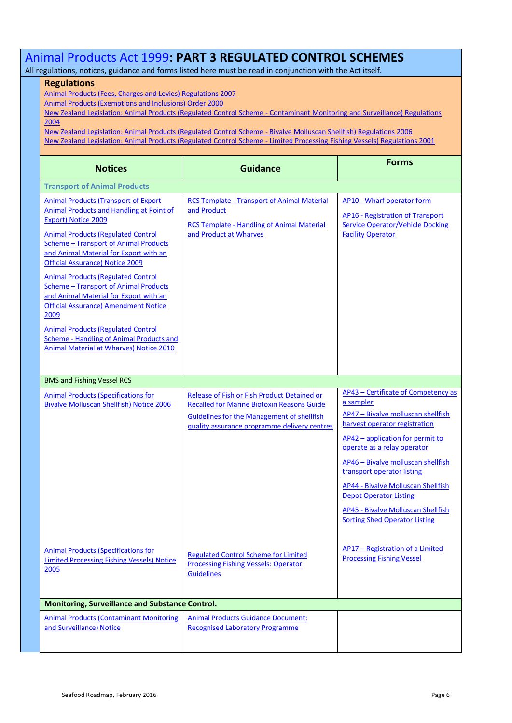| Animal Products Act 1999: PART 3 REGULATED CONTROL SCHEMES                                                                                                                                                                                                                                                                                                                                                                                                                                                                                                                                                                                      |                                                                                                                                                                                                       |                                                                                                                                                                                                                                                                                                                                                                                                                                   |  |  |
|-------------------------------------------------------------------------------------------------------------------------------------------------------------------------------------------------------------------------------------------------------------------------------------------------------------------------------------------------------------------------------------------------------------------------------------------------------------------------------------------------------------------------------------------------------------------------------------------------------------------------------------------------|-------------------------------------------------------------------------------------------------------------------------------------------------------------------------------------------------------|-----------------------------------------------------------------------------------------------------------------------------------------------------------------------------------------------------------------------------------------------------------------------------------------------------------------------------------------------------------------------------------------------------------------------------------|--|--|
| All regulations, notices, guidance and forms listed here must be read in conjunction with the Act itself.<br><b>Regulations</b><br>Animal Products (Fees, Charges and Levies) Regulations 2007<br><b>Animal Products (Exemptions and Inclusions) Order 2000</b><br>New Zealand Legislation: Animal Products (Regulated Control Scheme - Contaminant Monitoring and Surveillance) Regulations<br>2004                                                                                                                                                                                                                                            |                                                                                                                                                                                                       |                                                                                                                                                                                                                                                                                                                                                                                                                                   |  |  |
| New Zealand Legislation: Animal Products (Regulated Control Scheme - Bivalve Molluscan Shellfish) Regulations 2006<br>New Zealand Legislation: Animal Products (Regulated Control Scheme - Limited Processing Fishing Vessels) Regulations 2001                                                                                                                                                                                                                                                                                                                                                                                                 |                                                                                                                                                                                                       |                                                                                                                                                                                                                                                                                                                                                                                                                                   |  |  |
| <b>Notices</b>                                                                                                                                                                                                                                                                                                                                                                                                                                                                                                                                                                                                                                  | <b>Guidance</b>                                                                                                                                                                                       | <b>Forms</b>                                                                                                                                                                                                                                                                                                                                                                                                                      |  |  |
| <b>Transport of Animal Products</b>                                                                                                                                                                                                                                                                                                                                                                                                                                                                                                                                                                                                             |                                                                                                                                                                                                       |                                                                                                                                                                                                                                                                                                                                                                                                                                   |  |  |
| <b>Animal Products (Transport of Export</b><br>Animal Products and Handling at Point of<br><b>Export) Notice 2009</b><br><b>Animal Products (Regulated Control</b><br><b>Scheme - Transport of Animal Products</b><br>and Animal Material for Export with an<br><b>Official Assurance) Notice 2009</b><br><b>Animal Products (Regulated Control</b><br><b>Scheme - Transport of Animal Products</b><br>and Animal Material for Export with an<br><b>Official Assurance) Amendment Notice</b><br>2009<br><b>Animal Products (Regulated Control</b><br>Scheme - Handling of Animal Products and<br><b>Animal Material at Wharves) Notice 2010</b> | <b>RCS Template - Transport of Animal Material</b><br>and Product<br><b>RCS Template - Handling of Animal Material</b><br>and Product at Wharves                                                      | AP10 - Wharf operator form<br><b>AP16 - Registration of Transport</b><br><b>Service Operator/Vehicle Docking</b><br><b>Facility Operator</b>                                                                                                                                                                                                                                                                                      |  |  |
| <b>BMS and Fishing Vessel RCS</b>                                                                                                                                                                                                                                                                                                                                                                                                                                                                                                                                                                                                               |                                                                                                                                                                                                       |                                                                                                                                                                                                                                                                                                                                                                                                                                   |  |  |
| <b>Animal Products (Specifications for</b><br><b>Bivalve Molluscan Shellfish) Notice 2006</b>                                                                                                                                                                                                                                                                                                                                                                                                                                                                                                                                                   | Release of Fish or Fish Product Detained or<br><b>Recalled for Marine Biotoxin Reasons Guide</b><br><b>Guidelines for the Management of shellfish</b><br>quality assurance programme delivery centres | AP43 - Certificate of Competency as<br>a sampler<br>AP47 - Bivalve molluscan shellfish<br>harvest operator registration<br>AP42 - application for permit to<br>operate as a relay operator<br>AP46 - Bivalve molluscan shellfish<br>transport operator listing<br><b>AP44 - Bivalve Molluscan Shellfish</b><br><b>Depot Operator Listing</b><br><b>AP45 - Bivalve Molluscan Shellfish</b><br><b>Sorting Shed Operator Listing</b> |  |  |
| <b>Animal Products (Specifications for</b><br><b>Limited Processing Fishing Vessels) Notice</b><br>2005                                                                                                                                                                                                                                                                                                                                                                                                                                                                                                                                         | <b>Regulated Control Scheme for Limited</b><br><b>Processing Fishing Vessels: Operator</b><br><b>Guidelines</b>                                                                                       | <b>AP17 - Registration of a Limited</b><br><b>Processing Fishing Vessel</b>                                                                                                                                                                                                                                                                                                                                                       |  |  |
| Monitoring, Surveillance and Substance Control.                                                                                                                                                                                                                                                                                                                                                                                                                                                                                                                                                                                                 |                                                                                                                                                                                                       |                                                                                                                                                                                                                                                                                                                                                                                                                                   |  |  |
| <b>Animal Products (Contaminant Monitoring</b><br>and Surveillance) Notice                                                                                                                                                                                                                                                                                                                                                                                                                                                                                                                                                                      | <b>Animal Products Guidance Document:</b><br><b>Recognised Laboratory Programme</b>                                                                                                                   |                                                                                                                                                                                                                                                                                                                                                                                                                                   |  |  |

F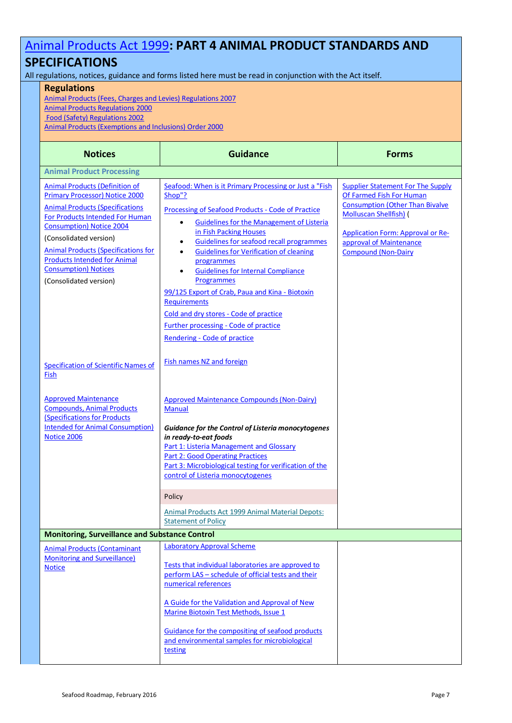# [Animal Products Act 1999](http://www.legislation.govt.nz/act/public/1999/0093/latest/DLM33502.html?search=ts_act%40bill%40regulation%40deemedreg_animal+products+act_resel_25_h&p=1)**: PART 4 ANIMAL PRODUCT STANDARDS AND**

### **SPECIFICATIONS**

All regulations, notices, guidance and forms listed here must be read in conjunction with the Act itself.

### **Regulations**

[Animal Products \(Fees, Charges and Levies\) Regulations 2007](http://www.legislation.govt.nz/regulation/public/2007/0130/latest/DLM437294.html?search=ts_all%40act%40bill%40regulation_animal+products_resel&p=1&sr=1) [Animal Products Regulations 2000](http://www.foodsafety.govt.nz/elibrary/industry/Animal_Products-Under_Acts.pdf)

[Food \(Safety\) Regulations 2002](http://www.legislation.govt.nz/regulation/public/2002/0396/latest/DLM173193.html?search=ts_regulation_food+safety+regulations+2002_resel&p=1&sr=1)

[Animal Products \(Exemptions and Inclusions\) Order 2000](http://www.legislation.govt.nz/regulation/public/2000/0209/latest/DLM9809.html)

| <b>Notices</b>                                                                                                                                                                                                                                                                                                                                                           | <b>Guidance</b>                                                                                                                                                                                                                                                                                                                                                                                                                                                                                                                                                                                                           | <b>Forms</b>                                                                                                                                                                                                                                         |
|--------------------------------------------------------------------------------------------------------------------------------------------------------------------------------------------------------------------------------------------------------------------------------------------------------------------------------------------------------------------------|---------------------------------------------------------------------------------------------------------------------------------------------------------------------------------------------------------------------------------------------------------------------------------------------------------------------------------------------------------------------------------------------------------------------------------------------------------------------------------------------------------------------------------------------------------------------------------------------------------------------------|------------------------------------------------------------------------------------------------------------------------------------------------------------------------------------------------------------------------------------------------------|
| <b>Animal Product Processing</b>                                                                                                                                                                                                                                                                                                                                         |                                                                                                                                                                                                                                                                                                                                                                                                                                                                                                                                                                                                                           |                                                                                                                                                                                                                                                      |
| <b>Animal Products (Definition of</b><br><b>Primary Processor) Notice 2000</b><br><b>Animal Products (Specifications</b><br>For Products Intended For Human<br><b>Consumption</b> ) Notice 2004<br>(Consolidated version)<br><b>Animal Products (Specifications for</b><br><b>Products Intended for Animal</b><br><b>Consumption</b> ) Notices<br>(Consolidated version) | Seafood: When is it Primary Processing or Just a "Fish<br>Shop"?<br>Processing of Seafood Products - Code of Practice<br><b>Guidelines for the Management of Listeria</b><br>$\bullet$<br>in Fish Packing Houses<br>Guidelines for seafood recall programmes<br>٠<br><b>Guidelines for Verification of cleaning</b><br>$\bullet$<br>programmes<br><b>Guidelines for Internal Compliance</b><br>٠<br><b>Programmes</b><br>99/125 Export of Crab, Paua and Kina - Biotoxin<br><b>Requirements</b><br>Cold and dry stores - Code of practice<br><b>Further processing - Code of practice</b><br>Rendering - Code of practice | <b>Supplier Statement For The Supply</b><br>Of Farmed Fish For Human<br><b>Consumption (Other Than Bivalve</b><br><b>Molluscan Shellfish)</b> (<br><b>Application Form: Approval or Re-</b><br>approval of Maintenance<br><b>Compound (Non-Dairy</b> |
| <b>Specification of Scientific Names of</b><br>Fish                                                                                                                                                                                                                                                                                                                      | <b>Fish names NZ and foreign</b>                                                                                                                                                                                                                                                                                                                                                                                                                                                                                                                                                                                          |                                                                                                                                                                                                                                                      |
| <b>Approved Maintenance</b><br><b>Compounds, Animal Products</b><br><b>Specifications for Products</b><br><b>Intended for Animal Consumption)</b><br><b>Notice 2006</b>                                                                                                                                                                                                  | <b>Approved Maintenance Compounds (Non-Dairy)</b><br><b>Manual</b><br><b>Guidance for the Control of Listeria monocytogenes</b><br>in ready-to-eat foods<br>Part 1: Listeria Management and Glossary<br><b>Part 2: Good Operating Practices</b><br>Part 3: Microbiological testing for verification of the<br>control of Listeria monocytogenes                                                                                                                                                                                                                                                                           |                                                                                                                                                                                                                                                      |
|                                                                                                                                                                                                                                                                                                                                                                          | Policy<br>Animal Products Act 1999 Animal Material Depots:<br><b>Statement of Policy</b>                                                                                                                                                                                                                                                                                                                                                                                                                                                                                                                                  |                                                                                                                                                                                                                                                      |
| <b>Monitoring, Surveillance and Substance Control</b>                                                                                                                                                                                                                                                                                                                    |                                                                                                                                                                                                                                                                                                                                                                                                                                                                                                                                                                                                                           |                                                                                                                                                                                                                                                      |
| <b>Animal Products (Contaminant</b><br><b>Monitoring and Surveillance)</b><br><b>Notice</b>                                                                                                                                                                                                                                                                              | <b>Laboratory Approval Scheme</b><br>Tests that individual laboratories are approved to<br>perform LAS - schedule of official tests and their<br>numerical references<br>A Guide for the Validation and Approval of New<br>Marine Biotoxin Test Methods, Issue 1<br>Guidance for the compositing of seafood products<br>and environmental samples for microbiological<br>testing                                                                                                                                                                                                                                          |                                                                                                                                                                                                                                                      |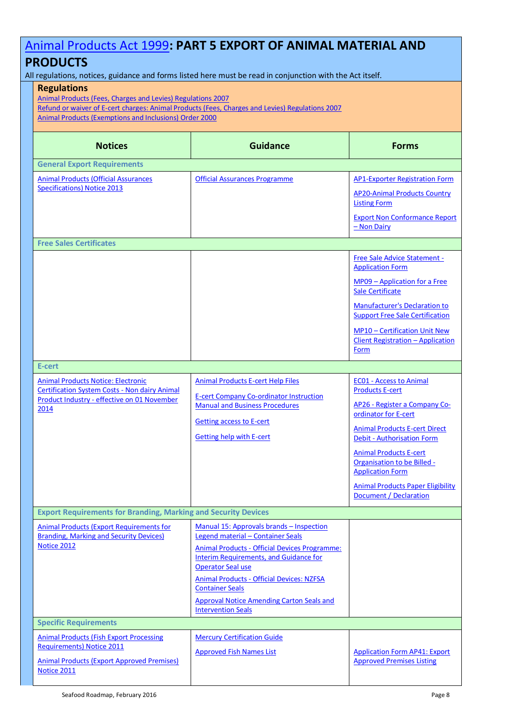# [Animal Products Act 1999](http://www.legislation.govt.nz/act/public/1999/0093/latest/DLM33502.html?search=ts_act%40bill%40regulation%40deemedreg_animal+products+act_resel_25_h&p=1)**: PART 5 EXPORT OF ANIMAL MATERIAL AND**

### **PRODUCTS**

All regulations, notices, guidance and forms listed here must be read in conjunction with the Act itself.

### **Regulations**

[Animal Products \(Fees, Charges and Levies\) Regulations 2007](http://www.legislation.govt.nz/regulation/public/2007/0130/latest/DLM437294.html?search=ts_all%40act%40bill%40regulation_animal+products_resel&p=1&sr=1) [Refund or waiver of E-cert charges: Animal Products \(Fees, Charges and Levies\) Regulations 2007](http://www.foodsafety.govt.nz/elibrary/industry/Refund_Waiver-Some_Users.htm) [Animal Products \(Exemptions and Inclusions\) Order 2000](http://www.legislation.govt.nz/regulation/public/2000/0209/latest/DLM9809.html)

| <b>Notices</b>                                                                                                                                                | <b>Guidance</b>                                                                                                                                                                                                                                                                                                                                                                   | <b>Forms</b>                                                                                                                                                                                                                                                                                                                                                    |
|---------------------------------------------------------------------------------------------------------------------------------------------------------------|-----------------------------------------------------------------------------------------------------------------------------------------------------------------------------------------------------------------------------------------------------------------------------------------------------------------------------------------------------------------------------------|-----------------------------------------------------------------------------------------------------------------------------------------------------------------------------------------------------------------------------------------------------------------------------------------------------------------------------------------------------------------|
| <b>General Export Requirements</b>                                                                                                                            |                                                                                                                                                                                                                                                                                                                                                                                   |                                                                                                                                                                                                                                                                                                                                                                 |
| <b>Animal Products (Official Assurances</b><br><b>Specifications) Notice 2013</b>                                                                             | <b>Official Assurances Programme</b>                                                                                                                                                                                                                                                                                                                                              | <b>AP1-Exporter Registration Form</b><br><b>AP20-Animal Products Country</b><br><b>Listing Form</b><br><b>Export Non Conformance Report</b><br>- Non Dairy                                                                                                                                                                                                      |
| <b>Free Sales Certificates</b>                                                                                                                                |                                                                                                                                                                                                                                                                                                                                                                                   |                                                                                                                                                                                                                                                                                                                                                                 |
|                                                                                                                                                               |                                                                                                                                                                                                                                                                                                                                                                                   | Free Sale Advice Statement -<br><b>Application Form</b><br>MP09 - Application for a Free<br>Sale Certificate<br><b>Manufacturer's Declaration to</b><br><b>Support Free Sale Certification</b><br>MP10 - Certification Unit New<br><b>Client Registration - Application</b><br>Form                                                                             |
| E-cert                                                                                                                                                        |                                                                                                                                                                                                                                                                                                                                                                                   |                                                                                                                                                                                                                                                                                                                                                                 |
| <b>Animal Products Notice: Electronic</b><br><b>Certification System Costs - Non dairy Animal</b><br>Product Industry - effective on 01 November<br>2014      | <b>Animal Products E-cert Help Files</b><br><b>E-cert Company Co-ordinator Instruction</b><br><b>Manual and Business Procedures</b><br><b>Getting access to E-cert</b><br><b>Getting help with E-cert</b>                                                                                                                                                                         | <b>EC01 - Access to Animal</b><br><b>Products E-cert</b><br>AP26 - Register a Company Co-<br>ordinator for E-cert<br><b>Animal Products E-cert Direct</b><br><b>Debit - Authorisation Form</b><br><b>Animal Products E-cert</b><br>Organisation to be Billed -<br><b>Application Form</b><br><b>Animal Products Paper Eligibility</b><br>Document / Declaration |
| <b>Export Requirements for Branding, Marking and Security Devices</b>                                                                                         |                                                                                                                                                                                                                                                                                                                                                                                   |                                                                                                                                                                                                                                                                                                                                                                 |
| <b>Animal Products (Export Requirements for</b><br><b>Branding, Marking and Security Devices)</b><br>Notice 2012                                              | Manual 15: Approvals brands – Inspection<br>Legend material - Container Seals<br><b>Animal Products - Official Devices Programme:</b><br><b>Interim Requirements, and Guidance for</b><br><b>Operator Seal use</b><br><b>Animal Products - Official Devices: NZFSA</b><br><b>Container Seals</b><br><b>Approval Notice Amending Carton Seals and</b><br><b>Intervention Seals</b> |                                                                                                                                                                                                                                                                                                                                                                 |
| <b>Specific Requirements</b>                                                                                                                                  |                                                                                                                                                                                                                                                                                                                                                                                   |                                                                                                                                                                                                                                                                                                                                                                 |
| <b>Animal Products (Fish Export Processing</b><br><b>Requirements) Notice 2011</b><br><b>Animal Products (Export Approved Premises)</b><br><b>Notice 2011</b> | <b>Mercury Certification Guide</b><br><b>Approved Fish Names List</b>                                                                                                                                                                                                                                                                                                             | <b>Application Form AP41: Export</b><br><b>Approved Premises Listing</b>                                                                                                                                                                                                                                                                                        |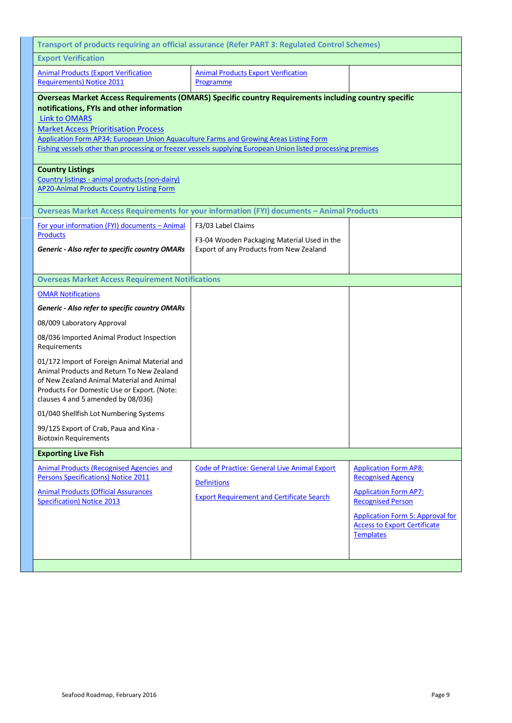| Transport of products requiring an official assurance (Refer PART 3: Regulated Control Schemes)                                                                                                                                                                                                                                                                                                                                           |                                                                                                                               |                                                                                                                                                                                                                            |  |
|-------------------------------------------------------------------------------------------------------------------------------------------------------------------------------------------------------------------------------------------------------------------------------------------------------------------------------------------------------------------------------------------------------------------------------------------|-------------------------------------------------------------------------------------------------------------------------------|----------------------------------------------------------------------------------------------------------------------------------------------------------------------------------------------------------------------------|--|
| <b>Export Verification</b>                                                                                                                                                                                                                                                                                                                                                                                                                |                                                                                                                               |                                                                                                                                                                                                                            |  |
| <b>Animal Products (Export Verification</b><br><b>Requirements) Notice 2011</b>                                                                                                                                                                                                                                                                                                                                                           | <b>Animal Products Export Verification</b><br>Programme                                                                       |                                                                                                                                                                                                                            |  |
| <b>Overseas Market Access Requirements (OMARS) Specific country Requirements including country specific</b><br>notifications, FYIs and other information<br><b>Link to OMARS</b><br><b>Market Access Prioritisation Process</b><br>Application Form AP34: European Union Aquaculture Farms and Growing Areas Listing Form<br>Fishing vessels other than processing or freezer vessels supplying European Union listed processing premises |                                                                                                                               |                                                                                                                                                                                                                            |  |
| <b>Country Listings</b><br>Country listings - animal products (non-dairy)<br>AP20-Animal Products Country Listing Form                                                                                                                                                                                                                                                                                                                    |                                                                                                                               |                                                                                                                                                                                                                            |  |
|                                                                                                                                                                                                                                                                                                                                                                                                                                           | Overseas Market Access Requirements for your information (FYI) documents - Animal Products                                    |                                                                                                                                                                                                                            |  |
| For your information (FYI) documents - Animal                                                                                                                                                                                                                                                                                                                                                                                             | F3/03 Label Claims                                                                                                            |                                                                                                                                                                                                                            |  |
| <b>Products</b><br>Generic - Also refer to specific country OMARs                                                                                                                                                                                                                                                                                                                                                                         | F3-04 Wooden Packaging Material Used in the<br>Export of any Products from New Zealand                                        |                                                                                                                                                                                                                            |  |
| <b>Overseas Market Access Requirement Notifications</b>                                                                                                                                                                                                                                                                                                                                                                                   |                                                                                                                               |                                                                                                                                                                                                                            |  |
| <b>OMAR Notifications</b>                                                                                                                                                                                                                                                                                                                                                                                                                 |                                                                                                                               |                                                                                                                                                                                                                            |  |
| Generic - Also refer to specific country OMARs                                                                                                                                                                                                                                                                                                                                                                                            |                                                                                                                               |                                                                                                                                                                                                                            |  |
| 08/009 Laboratory Approval                                                                                                                                                                                                                                                                                                                                                                                                                |                                                                                                                               |                                                                                                                                                                                                                            |  |
| 08/036 Imported Animal Product Inspection<br>Requirements                                                                                                                                                                                                                                                                                                                                                                                 |                                                                                                                               |                                                                                                                                                                                                                            |  |
| 01/172 Import of Foreign Animal Material and<br>Animal Products and Return To New Zealand<br>of New Zealand Animal Material and Animal<br>Products For Domestic Use or Export. (Note:<br>clauses 4 and 5 amended by 08/036)                                                                                                                                                                                                               |                                                                                                                               |                                                                                                                                                                                                                            |  |
| 01/040 Shellfish Lot Numbering Systems                                                                                                                                                                                                                                                                                                                                                                                                    |                                                                                                                               |                                                                                                                                                                                                                            |  |
| 99/125 Export of Crab, Paua and Kina -<br><b>Biotoxin Requirements</b>                                                                                                                                                                                                                                                                                                                                                                    |                                                                                                                               |                                                                                                                                                                                                                            |  |
| <b>Exporting Live Fish</b>                                                                                                                                                                                                                                                                                                                                                                                                                |                                                                                                                               |                                                                                                                                                                                                                            |  |
| <b>Animal Products (Recognised Agencies and</b><br><b>Persons Specifications) Notice 2011</b><br><b>Animal Products (Official Assurances</b><br><b>Specification) Notice 2013</b>                                                                                                                                                                                                                                                         | <b>Code of Practice: General Live Animal Export</b><br><b>Definitions</b><br><b>Export Requirement and Certificate Search</b> | <b>Application Form AP8:</b><br><b>Recognised Agency</b><br><b>Application Form AP7:</b><br><b>Recognised Person</b><br><b>Application Form 5: Approval for</b><br><b>Access to Export Certificate</b><br><b>Templates</b> |  |
|                                                                                                                                                                                                                                                                                                                                                                                                                                           |                                                                                                                               |                                                                                                                                                                                                                            |  |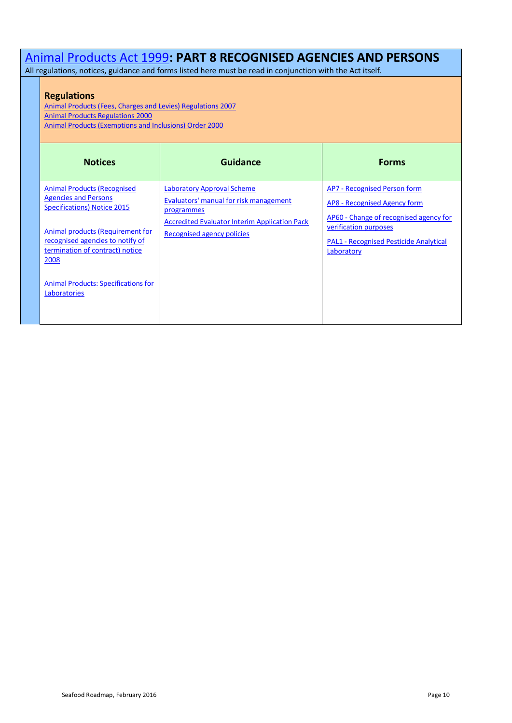### [Animal Products Act 1999](http://www.legislation.govt.nz/act/public/1999/0093/latest/DLM33502.html?search=ts_act%40bill%40regulation%40deemedreg_animal+products+act_resel_25_h&p=1)**: PART 8 RECOGNISED AGENCIES AND PERSONS**

All regulations, notices, guidance and forms listed here must be read in conjunction with the Act itself.

### **Regulations**

[Animal Products \(Fees, Charges and Levies\) Regulations 2007](http://www.legislation.govt.nz/regulation/public/2007/0130/latest/DLM437294.html?search=ts_all%40act%40bill%40regulation_animal+products_resel&p=1&sr=1) [Animal Products Regulations 2000](http://www.foodsafety.govt.nz/elibrary/industry/Animal_Products-Under_Acts.pdf) [Animal Products \(Exemptions and Inclusions\) Order 2000](http://www.legislation.govt.nz/regulation/public/2000/0209/latest/DLM9809.html)

| <b>Notices</b>                                                                                                                                                                                                              | Guidance                                                                                                                                                                        | <b>Forms</b>                                                                                                                                                                                   |
|-----------------------------------------------------------------------------------------------------------------------------------------------------------------------------------------------------------------------------|---------------------------------------------------------------------------------------------------------------------------------------------------------------------------------|------------------------------------------------------------------------------------------------------------------------------------------------------------------------------------------------|
| <b>Animal Products (Recognised)</b><br><b>Agencies and Persons</b><br><b>Specifications) Notice 2015</b><br>Animal products (Requirement for<br>recognised agencies to notify of<br>termination of contract) notice<br>2008 | <b>Laboratory Approval Scheme</b><br>Evaluators' manual for risk management<br>programmes<br><b>Accredited Evaluator Interim Application Pack</b><br>Recognised agency policies | AP7 - Recognised Person form<br>AP8 - Recognised Agency form<br>AP60 - Change of recognised agency for<br>verification purposes<br><b>PAL1 - Recognised Pesticide Analytical</b><br>Laboratory |
| <b>Animal Products: Specifications for</b><br>Laboratories                                                                                                                                                                  |                                                                                                                                                                                 |                                                                                                                                                                                                |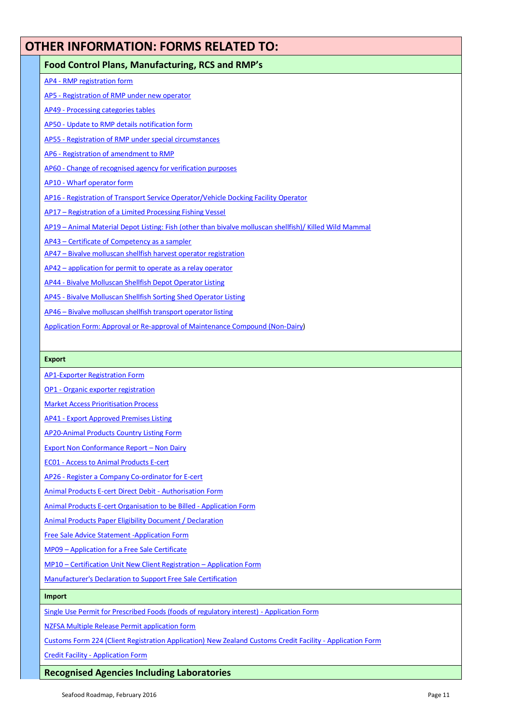### <span id="page-10-0"></span>**OTHER INFORMATION: FORMS RELATED TO:**

### **Food Control Plans, Manufacturing, RCS and RMP's**

AP4 - [RMP registration form](http://www.foodsafety.govt.nz/elibrary/industry/registration-application-form-ap4/index.htm)

AP5 - [Registration of RMP under new operator](http://www.foodsafety.govt.nz/elibrary/industry/registration-under-operator-ap5/index.htm)

- AP49 [Processing categories tables](http://www.foodsafety.govt.nz/elibrary/industry/processing-categories-tables-ap49/index.htm)
- AP50 [Update to RMP details notification form](http://www.foodsafety.govt.nz/elibrary/industry/update-details-notification-ap50/index.htm)

AP55 - [Registration of RMP under special circumstances](http://www.foodsafety.govt.nz/elibrary/industry/registration-under-ap-55-rmp-special-circumstances/index.htm)

AP6 - [Registration of amendment to RMP](http://www.foodsafety.govt.nz/elibrary/industry/registration-amendment-application-ap6/index.htm)

AP60 - [Change of recognised agency for verification purposes](http://www.foodsafety.govt.nz/elibrary/industry/ap60.pdf)

AP10 - [Wharf operator form](http://www.foodsafety.govt.nz/elibrary/industry/application-form-ap10-ap-10-wharf-operator-registration/)

AP16 - [Registration of Transport Service Operator/Vehicle Docking Facility Operator](http://www.foodsafety.govt.nz/elibrary/industry/ap16-transport-operator-registration/index.htm)

AP17 – [Registration of a Limited Processing Fishing Vessel](http://www.foodsafety.govt.nz/elibrary/industry/application-form-ap17-ltd-process-fishing-vessels/index.htm)

AP19 – [Animal Material Depot Listing: Fish \(other than bivalve molluscan shellfish\)/ Killed Wild Mammal](http://www.foodsafety.govt.nz/elibrary/industry/application-form-listing-ap19-animal-material-depot/index.htm)

AP43 – [Certificate of Competency as a sampler](http://www.foodsafety.govt.nz/elibrary/industry/certificate-competency-ap-43-sampler-certification/index.htm)

AP47 – [Bivalve molluscan shellfish harvest operator registration](http://www.foodsafety.govt.nz/elibrary/industry/application-form-ap47-ap-47-harvest-operators/index.htm)

AP42 – [application for permit to operate as a relay operator](http://www.foodsafety.govt.nz/elibrary/industry/application-form-ap42-ap-42-relay-operator/index.htm)

AP44 - [Bivalve Molluscan Shellfish Depot Operator Listing](http://www.foodsafety.govt.nz/elibrary/industry/application-form-ap44-ap-44-depot-operator-listing/index.htm)

- AP45 [Bivalve Molluscan Shellfish Sorting Shed Operator Listing](http://www.foodsafety.govt.nz/elibrary/industry/application-form-ap45-ap-45-bms-sorting-shed-operator/index.htm)
- AP46 [Bivalve molluscan shellfish transport operator listing](http://www.foodsafety.govt.nz/elibrary/industry/application-form-ap46-ap-46-bms-transporter/index.htm)

[Application Form: Approval or Re-approval of Maintenance Compound \(Non-Dairy\)](http://www.foodsafety.govt.nz/elibrary/industry/application-form-maintenance-chemical-approvals/index.htm)

#### **Export**

[AP1-Exporter Registration](http://www.foodsafety.govt.nz/elibrary/industry/application-form-registration-exporters/ap1.pdf) Form

OP1 - [Organic exporter registration](http://www.foodsafety.govt.nz/elibrary/industry/application-organic-exporter-registration-form/index.htm)

[Market Access Prioritisation Process](http://www.foodsafety.govt.nz/elibrary/industry/market-access/index.htm)

AP41 - [Export Approved Premises Listing](http://www.foodsafety.govt.nz/elibrary/industry/application-form-listing-ap-41-export-approved-premises/index.htm)

[AP20-Animal Products Country Listing Form](http://www.foodsafety.govt.nz/elibrary/industry/AP20-country-listing/index.htm)

[Export Non Conformance Report](http://www.foodsafety.govt.nz/elibrary/industry/non-conformance-report-non-dairy.rtf) – Non Dairy

EC01 - [Access to Animal Products E-cert](http://www.foodsafety.govt.nz/elibrary/industry/form-ec01-access-application/index.htm)

AP26 - [Register a Company Co-ordinator for](http://www.foodsafety.govt.nz/elibrary/industry/ap26.pdf) E-cert

[Animal Products E-cert Direct Debit -](http://www.foodsafety.govt.nz/elibrary/industry/direct-debit.pdf) Authorisation Form

Animal [Products E-cert Organisation to be Billed -](http://www.foodsafety.govt.nz/elibrary/industry/application-form-cert-billing/index.htm) Application Form

[Animal Products Paper Eligibility Document / Declaration](http://www.foodsafety.govt.nz/elibrary/industry/Paper_Eligibility-About_Animal.pdf)

[Free Sale Advice Statement -Application Form](http://www.foodsafety.govt.nz/elibrary/industry/application-form-free-sale-certificates/index.htm)

MP09 – [Application for a Free Sale Certificate](http://www.foodsafety.govt.nz/elibrary/industry/application-form-free-sale-certificates/index.htm)

MP10 – [Certification Unit New Client Registration](http://www.foodsafety.govt.nz/elibrary/industry/Application_Form-Company_With.doc) – Application Form

[Manufacturer's Declaration to Support Free Sale Certification](http://www.foodsafety.govt.nz/elibrary/industry/Manufacturer_Declaration-About_Product.doc)

#### **Import**

[Single Use Permit for Prescribed Foods \(foods of regulatory interest\) -](http://www.foodsafety.govt.nz/elibrary/industry/prescribed-foods-foods-nzfsa-single-use-permit-application/index.htm) Application Form

[NZFSA Multiple Release Permit application form](http://www.foodsafety.govt.nz/elibrary/industry/nzfsa-application-multiple-release-permit/index.htm)

[Customs Form 224 \(Client Registration Application\)](http://www.foodsafety.govt.nz/elibrary/industry/imp1/index.htm) New Zealand Customs Credit Facility - Application Form

Credit Facility - [Application Form](http://www.foodsafety.govt.nz/elibrary/industry/credit-facility.pdf)

### **Recognised Agencies Including Laboratories**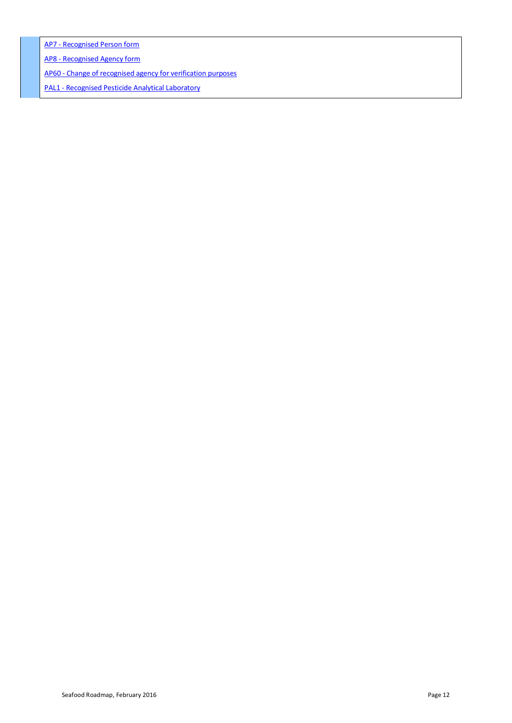AP7 - [Recognised Person form](http://www.foodsafety.govt.nz/elibrary/industry/animal-products-recognised-accredited-persons/)

AP8 - [Recognised Agency form](http://www.foodsafety.govt.nz/elibrary/industry/application-form-agency-recognised-agencies/)

AP60 - [Change of recognised agency for verification purposes](http://www.foodsafety.govt.nz/elibrary/industry/ap60.pdf)

PAL1 - [Recognised Pesticide Analytical Laboratory](http://www.foodsafety.govt.nz/elibrary/industry/Application_Form-Renew_Change.doc)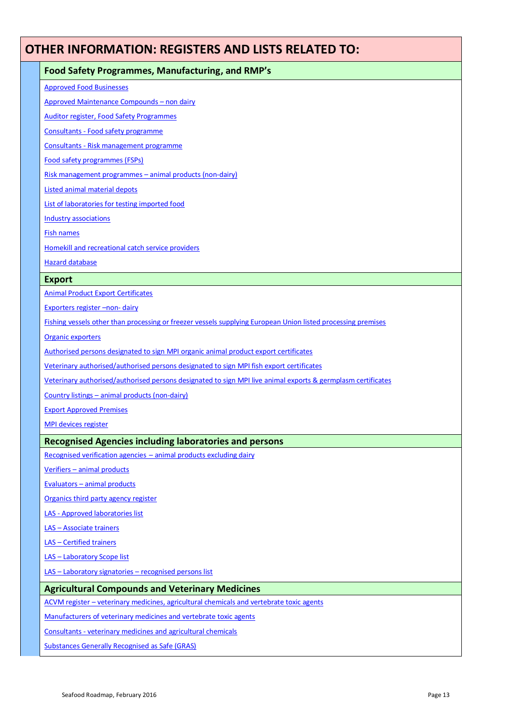### <span id="page-12-0"></span>**OTHER INFORMATION: REGISTERS AND LISTS RELATED TO:**

### **Food Safety Programmes, Manufacturing, and RMP's**

[Approved Food Businesses](https://eatsafe.nzfsa.govt.nz/web/public/approved-food-businesses?p_p_id=searchFoodBusinesses_WAR_aaol&p_p_lifecycle=1&p_p_state=normal&p_p_mode=view&p_p_col_id=column-2&p_p_col_count=1&_searchFoodBusinesses_WAR_aaol_action=recentRegistrations)

[Approved Maintenance Compounds](http://www.foodsafety.govt.nz/registers-lists/maintenance-compounds/index.htm) – non dairy

[Auditor register, Food Safety Programmes](http://www.foodsafety.govt.nz/registers-lists/auditors/index.htm)

Consultants - [Food safety programme](http://www.foodsafety.govt.nz/registers-lists/fsp-consultants.htm)

Consultants - [Risk management programme](http://www.foodsafety.govt.nz/registers-lists/rmp-consultants.htm)

[Food safety programmes \(FSPs\)](http://www.foodsafety.govt.nz/registers-lists/exemption.htm)

Risk management programmes – [animal products \(non-dairy\)](http://www.foodsafety.govt.nz/registers-lists/risk-management-programmes/index.htm)

[Listed animal material depots](http://www.foodsafety.govt.nz/registers-lists/animal-material-depot/index.htm)

[List of laboratories for testing imported food](http://www.foodsafety.govt.nz/elibrary/industry/labs-for-testing-imported-foods.pdf)

[Industry associations](http://www.foodsafety.govt.nz/elibrary/industry/register-list-industry-associations.htm)

[Fish names](http://www.foodsafety.govt.nz/elibrary/industry/approved-fish-names/index.htm)

[Homekill and recreational catch service providers](http://www.foodsafety.govt.nz/registers-lists/service-providers/index.htm)

[Hazard database](http://www.foodsafety.govt.nz/registers-lists/hazards/index.htm)

### **Export**

[Animal Product Export Certificates](http://www.foodsafety.govt.nz/elibrary/industry/Approved_Quota-.htm)

[Exporters](http://www.foodsafety.govt.nz/registers-lists/exporters/index.htm) register -non- dairy

[Fishing vessels other than processing or freezer vessels supplying European Union listed processing premises](http://www.foodsafety.govt.nz/registers-lists/eu-registered-vessels/index.htm)

[Organic exporters](http://www.foodsafety.govt.nz/registers-lists/organic-exporters-register/index.htm)

[Authorised persons designated to sign MPI](http://www.foodsafety.govt.nz/registers-lists/organics-authorised.htm) organic animal product export certificates

[Veterinary authorised/authorised persons designated to sign MPI fish export certificates](http://www.foodsafety.govt.nz/registers-lists/fish-authorised.htm)

[Veterinary authorised/authorised persons designated to sign MPI live animal exports & germplasm certificates](http://www.foodsafety.govt.nz/registers-lists/animals-authorised.htm)

Country listings – [animal products \(non-dairy\)](http://www.foodsafety.govt.nz/elibrary/industry/country-animal-products/index.htm)

[Export Approved Premises](http://www.foodsafety.govt.nz/registers-lists/export-approved-premises/index.htm)

MPI [devices register](http://www.foodsafety.govt.nz/registers-lists/maf-devices)

### **Recognised Agencies including laboratories and persons**

[Recognised verification agencies](http://www.foodsafety.govt.nz/elibrary/industry/Animal_Products-.htm) – animal products excluding dairy

Verifiers – [animal products](http://www.foodsafety.govt.nz/registers-lists/verifiers/index.htm)

Evaluators – [animal products](http://www.foodsafety.govt.nz/registers-lists/evaluators-rmp/index.htm)

[Organics third party agency register](http://www.foodsafety.govt.nz/registers-lists/tpa-register/index.htm)

LAS - [Approved laboratories list](http://www.foodsafety.govt.nz/registers-lists/milab/index.htm)

LAS – [Associate trainers](http://www.foodsafety.govt.nz/registers-lists/associate-trainers/index.htm)

LAS – [Certified trainers](http://www.foodsafety.govt.nz/registers-lists/certified-trainers/index.htm)

LAS – [Laboratory Scope list](http://www.foodsafety.govt.nz/registers-lists/laboratory-scope-list/index.htm)

LAS – [Laboratory signatories](http://www.foodsafety.govt.nz/registers-lists/laboratory-signatories/index.htm) – recognised persons list

### **Agricultural Compounds and Veterinary Medicines**

ACVM register - [veterinary medicines, agricultural chemicals and vertebrate toxic agents](https://eatsafe.nzfsa.govt.nz/web/public/acvm-register)

[Manufacturers of veterinary medicines and vertebrate toxic agents](http://www.foodsafety.govt.nz/registers-lists/manufacturers-of-VM-VTA/index.htm)

Consultants - [veterinary medicines and agricultural chemicals](http://www.foodsafety.govt.nz/registers-lists/consultants/index.htm)

[Substances Generally Recognised as Safe \(GRAS\)](http://www.foodsafety.govt.nz/elibrary/industry/gras/index.htm)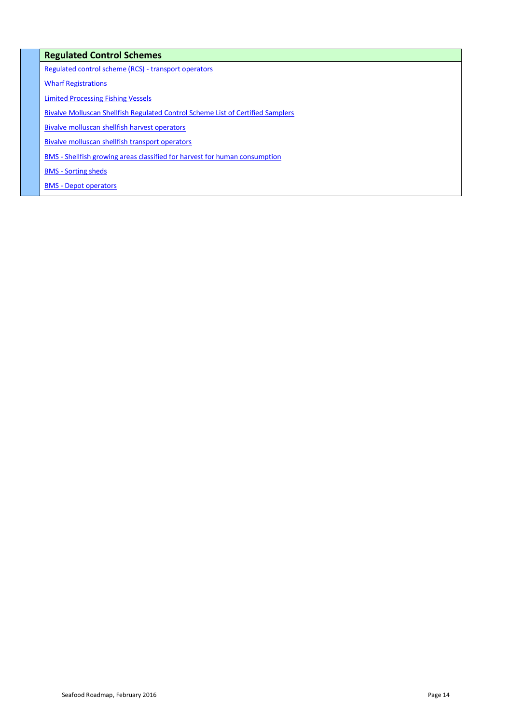### **Regulated Control Schemes**

[Regulated control scheme \(RCS\) -](http://www.foodsafety.govt.nz/registers-lists/transport-operators/index.htm) transport operators

[Wharf Registrations](http://www.foodsafety.govt.nz/registers-lists/wharf-registrations)

[Limited Processing Fishing Vessels](http://www.foodsafety.govt.nz/registers-lists/limited-processing-fishing-vessels/index.htm)

[Bivalve Molluscan Shellfish Regulated Control Scheme List of Certified Samplers](http://www.foodsafety.govt.nz/elibrary/industry/BMS-certified-samplers.pdf)

[Bivalve molluscan shellfish harvest operators](http://www.foodsafety.govt.nz/registers-lists/bms-harvest-operators/index.htm)

[Bivalve molluscan shellfish transport operators](http://www.foodsafety.govt.nz/registers-lists/bms-transporters/index.htm)

BMS - [Shellfish growing areas classified for harvest for human consumption](http://www.foodsafety.govt.nz/elibrary/industry/shellfish-growing.pdf) 

BMS - [Sorting sheds](http://www.foodsafety.govt.nz/registers-lists/bms-sorting-shed/index.htm)

BMS - [Depot operators](http://www.foodsafety.govt.nz/registers-lists/bms-depot/index.htm)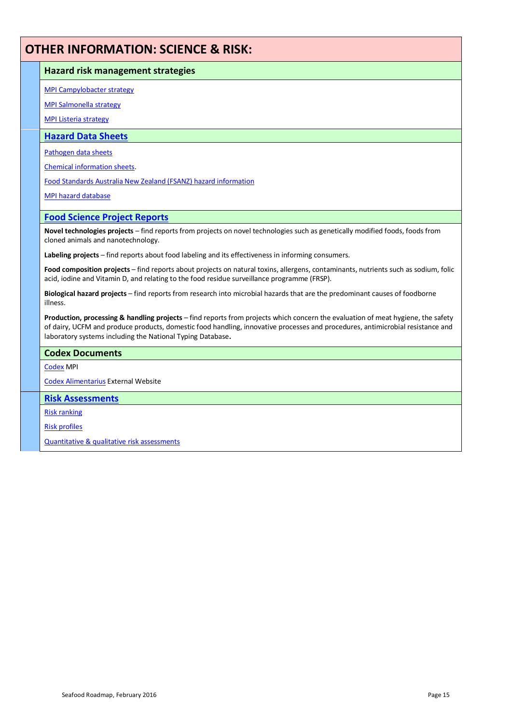### **OTHER INFORMATION: SCIENCE & RISK:**

### **Hazard risk management strategies**

[MPI Campylobacter strategy](http://www.foodsafety.govt.nz/science-risk/project-reports/)

[MPI Salmonella strategy](http://www.foodsafety.govt.nz/science-risk/programmes/hazard-risk-management/salmonella.htm)

[MPI Listeria strategy](http://www.foodsafety.govt.nz/science-risk/programmes/hazard-risk-management/listeria.htm)

### **[Hazard Data Sheets](http://www.foodsafety.govt.nz/science-risk/hazard-data-sheets)**

[Pathogen data sheets](http://www.foodsafety.govt.nz/science-risk/hazard-data-sheets/pathogen-data-sheets.htm)

[Chemical information sheets.](http://www.foodsafety.govt.nz/science-risk/hazard-data-sheets/chemical-information-sheets.htm) 

[Food Standards Australia New Zealand \(FSANZ\) hazard information](http://www.foodsafety.govt.nz/science-risk/hazard-data-sheets/fzanz-hazard-information.htm)

[MPI hazard database](http://www.foodsafety.govt.nz/industry/general/haccp/hazard-db.htm)

### **[Food Science Project Reports](http://www.foodsafety.govt.nz/)**

**Novel technologies projects** – find reports from projects on novel technologies such as genetically modified foods, foods from cloned animals and nanotechnology.

**Labeling projects** – find reports about food labeling and its effectiveness in informing consumers.

**Food composition projects** – find reports about projects on natural toxins, allergens, contaminants, nutrients such as sodium, folic acid, iodine and Vitamin D, and relating to the food residue surveillance programme (FRSP).

**Biological hazard projects** – find reports from research into microbial hazards that are the predominant causes of foodborne illness.

**Production, processing & handling projects** – find reports from projects which concern the evaluation of meat hygiene, the safety of dairy, UCFM and produce products, domestic food handling, innovative processes and procedures, antimicrobial resistance and laboratory systems including the National Typing Database**.**

### **Codex Documents**

[Codex](http://www.foodsafety.govt.nz/policy-law/codex/) MPI

[Codex Alimentarius](http://www.codexalimentarius.net/web/index_en.jsp) External Website

### **[Risk Assessments](http://www.foodsafety.govt.nz/science-risk/risk-assessment)**

[Risk ranking](http://www.foodsafety.govt.nz/science-risk/risk-assessment/risk-ranking.htm) 

[Risk profiles](http://www.foodsafety.govt.nz/science-risk/risk-assessment/risk-profiles)

[Quantitative & qualitative risk assessments](http://www.foodsafety.govt.nz/science-risk/risk-assessment/quantitative&qualitative.htm)